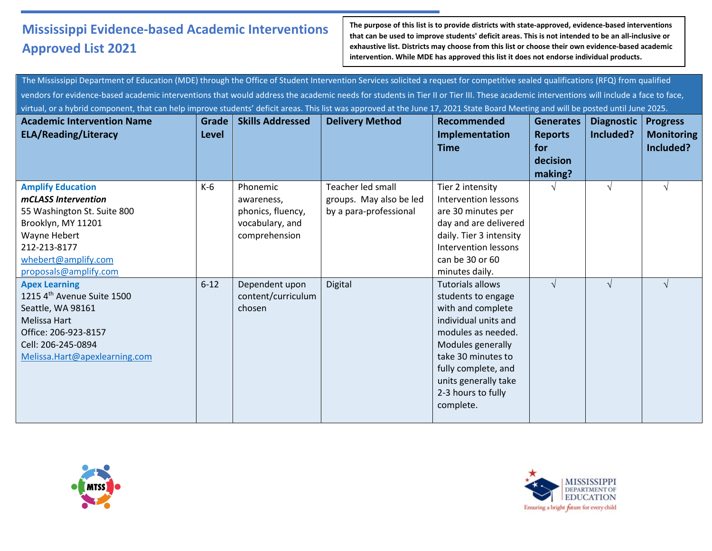**The purpose of this list is to provide districts with state-approved, evidence-based interventions that can be used to improve students' deficit areas. This is not intended to be an all-inclusive or exhaustive list. Districts may choose from this list or choose their own evidence-based academic intervention. While MDE has approved this list it does not endorse individual products.**

The Mississippi Department of Education (MDE) through the Office of Student Intervention Services solicited a request for competitive sealed qualifications (RFQ) from qualified vendors for evidence-based academic interventions that would address the academic needs for students in Tier II or Tier III. These academic interventions will include a face to face, virtual, or a hybrid component, that can help improve students' deficit areas. This list was approved at the June 17, 2021 State Board Meeting and will be posted until June 2025.

| <b>Academic Intervention Name</b><br><b>ELA/Reading/Literacy</b>                                                                                                                     | Grade<br><b>Level</b> | <b>Skills Addressed</b>                                                         | <b>Delivery Method</b>                                                 | <b>Recommended</b><br>Implementation<br><b>Time</b>                                                                                                                                                                                           | <b>Generates</b><br><b>Reports</b><br>for | <b>Diagnostic</b><br>Included? | <b>Progress</b><br><b>Monitoring</b><br>Included? |
|--------------------------------------------------------------------------------------------------------------------------------------------------------------------------------------|-----------------------|---------------------------------------------------------------------------------|------------------------------------------------------------------------|-----------------------------------------------------------------------------------------------------------------------------------------------------------------------------------------------------------------------------------------------|-------------------------------------------|--------------------------------|---------------------------------------------------|
|                                                                                                                                                                                      |                       |                                                                                 |                                                                        |                                                                                                                                                                                                                                               | decision<br>making?                       |                                |                                                   |
| <b>Amplify Education</b><br>mCLASS Intervention<br>55 Washington St. Suite 800<br>Brooklyn, MY 11201<br>Wayne Hebert<br>212-213-8177<br>whebert@amplify.com<br>proposals@amplify.com | $K-6$                 | Phonemic<br>awareness,<br>phonics, fluency,<br>vocabulary, and<br>comprehension | Teacher led small<br>groups. May also be led<br>by a para-professional | Tier 2 intensity<br>Intervention lessons<br>are 30 minutes per<br>day and are delivered<br>daily. Tier 3 intensity<br>Intervention lessons<br>can be 30 or 60<br>minutes daily.                                                               |                                           | $\sqrt{ }$                     |                                                   |
| <b>Apex Learning</b><br>1215 4 <sup>th</sup> Avenue Suite 1500<br>Seattle, WA 98161<br>Melissa Hart<br>Office: 206-923-8157<br>Cell: 206-245-0894<br>Melissa.Hart@apexlearning.com   | $6 - 12$              | Dependent upon<br>content/curriculum<br>chosen                                  | Digital                                                                | <b>Tutorials allows</b><br>students to engage<br>with and complete<br>individual units and<br>modules as needed.<br>Modules generally<br>take 30 minutes to<br>fully complete, and<br>units generally take<br>2-3 hours to fully<br>complete. | $\sqrt{ }$                                | $\sqrt{ }$                     |                                                   |



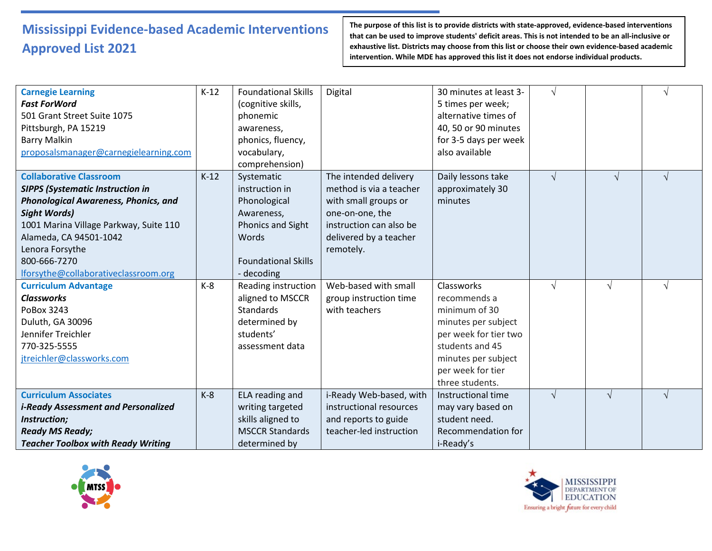| <b>Carnegie Learning</b><br><b>Fast ForWord</b><br>501 Grant Street Suite 1075<br>Pittsburgh, PA 15219<br><b>Barry Malkin</b><br>proposalsmanager@carnegielearning.com                                                                                                                         | $K-12$ | <b>Foundational Skills</b><br>(cognitive skills,<br>phonemic<br>awareness,<br>phonics, fluency,<br>vocabulary,<br>comprehension)          | Digital                                                                                                                                                       | 30 minutes at least 3-<br>5 times per week;<br>alternative times of<br>40, 50 or 90 minutes<br>for 3-5 days per week<br>also available                                        |            |            |            |
|------------------------------------------------------------------------------------------------------------------------------------------------------------------------------------------------------------------------------------------------------------------------------------------------|--------|-------------------------------------------------------------------------------------------------------------------------------------------|---------------------------------------------------------------------------------------------------------------------------------------------------------------|-------------------------------------------------------------------------------------------------------------------------------------------------------------------------------|------------|------------|------------|
| <b>Collaborative Classroom</b><br><b>SIPPS (Systematic Instruction in</b><br><b>Phonological Awareness, Phonics, and</b><br><b>Sight Words)</b><br>1001 Marina Village Parkway, Suite 110<br>Alameda, CA 94501-1042<br>Lenora Forsythe<br>800-666-7270<br>lforsythe@collaborativeclassroom.org | $K-12$ | Systematic<br>instruction in<br>Phonological<br>Awareness,<br><b>Phonics and Sight</b><br>Words<br><b>Foundational Skills</b><br>decoding | The intended delivery<br>method is via a teacher<br>with small groups or<br>one-on-one, the<br>instruction can also be<br>delivered by a teacher<br>remotely. | Daily lessons take<br>approximately 30<br>minutes                                                                                                                             | $\sqrt{ }$ | $\sqrt{ }$ | $\sqrt{ }$ |
| <b>Curriculum Advantage</b><br><b>Classworks</b><br>PoBox 3243<br>Duluth, GA 30096<br>Jennifer Treichler<br>770-325-5555<br>jtreichler@classworks.com                                                                                                                                          | $K-8$  | Reading instruction<br>aligned to MSCCR<br><b>Standards</b><br>determined by<br>students'<br>assessment data                              | Web-based with small<br>group instruction time<br>with teachers                                                                                               | Classworks<br>recommends a<br>minimum of 30<br>minutes per subject<br>per week for tier two<br>students and 45<br>minutes per subject<br>per week for tier<br>three students. | $\sqrt{ }$ | $\sqrt{ }$ | $\sqrt{ }$ |
| <b>Curriculum Associates</b><br><i>i-Ready Assessment and Personalized</i><br>Instruction;<br><b>Ready MS Ready;</b><br><b>Teacher Toolbox with Ready Writing</b>                                                                                                                              | $K-8$  | ELA reading and<br>writing targeted<br>skills aligned to<br><b>MSCCR Standards</b><br>determined by                                       | i-Ready Web-based, with<br>instructional resources<br>and reports to guide<br>teacher-led instruction                                                         | Instructional time<br>may vary based on<br>student need.<br>Recommendation for<br>i-Ready's                                                                                   | $\sqrt{ }$ | $\sqrt{ }$ | $\sqrt{ }$ |



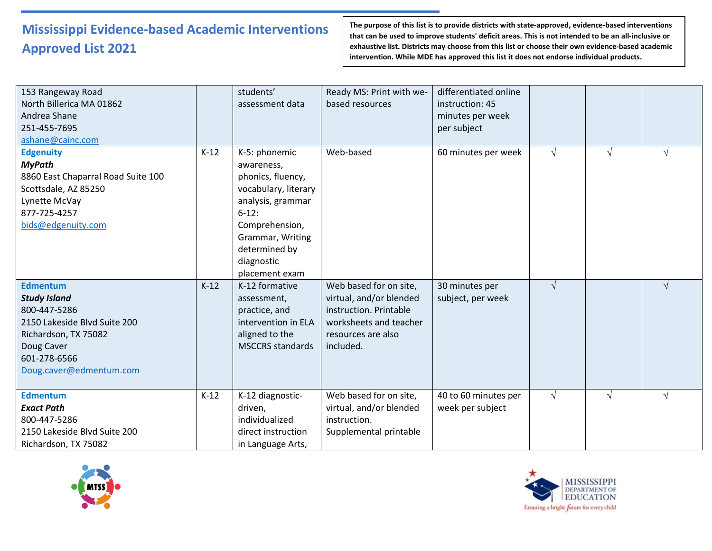| 153 Rangeway Road<br>North Billerica MA 01862<br>Andrea Shane<br>251-455-7695<br>ashane@cainc.com                                                                       |        | students'<br>assessment data                                                                                                                                                                     | Ready MS: Print with we-<br>based resources                                                                                              | differentiated online<br>instruction: 45<br>minutes per week<br>per subject |            |            |            |
|-------------------------------------------------------------------------------------------------------------------------------------------------------------------------|--------|--------------------------------------------------------------------------------------------------------------------------------------------------------------------------------------------------|------------------------------------------------------------------------------------------------------------------------------------------|-----------------------------------------------------------------------------|------------|------------|------------|
| <b>Edgenuity</b><br><b>MyPath</b><br>8860 East Chaparral Road Suite 100<br>Scottsdale, AZ 85250<br>Lynette McVay<br>877-725-4257<br>bids@edgenuity.com                  | $K-12$ | K-5: phonemic<br>awareness,<br>phonics, fluency,<br>vocabulary, literary<br>analysis, grammar<br>$6-12$ :<br>Comprehension,<br>Grammar, Writing<br>determined by<br>diagnostic<br>placement exam | Web-based                                                                                                                                | 60 minutes per week                                                         | $\sqrt{ }$ | $\sqrt{ }$ | $\sqrt{ }$ |
| <b>Edmentum</b><br><b>Study Island</b><br>800-447-5286<br>2150 Lakeside Blvd Suite 200<br>Richardson, TX 75082<br>Doug Caver<br>601-278-6566<br>Doug.caver@edmentum.com | $K-12$ | K-12 formative<br>assessment,<br>practice, and<br>intervention in ELA<br>aligned to the<br><b>MSCCRS</b> standards                                                                               | Web based for on site,<br>virtual, and/or blended<br>instruction. Printable<br>worksheets and teacher<br>resources are also<br>included. | 30 minutes per<br>subject, per week                                         | $\sqrt{ }$ |            | $\sqrt{ }$ |
| <b>Edmentum</b><br><b>Exact Path</b><br>800-447-5286<br>2150 Lakeside Blvd Suite 200<br>Richardson, TX 75082                                                            | $K-12$ | K-12 diagnostic-<br>driven.<br>individualized<br>direct instruction<br>in Language Arts,                                                                                                         | Web based for on site,<br>virtual, and/or blended<br>instruction.<br>Supplemental printable                                              | 40 to 60 minutes per<br>week per subject                                    | $\sqrt{ }$ | $\sqrt{ }$ | $\sqrt{ }$ |



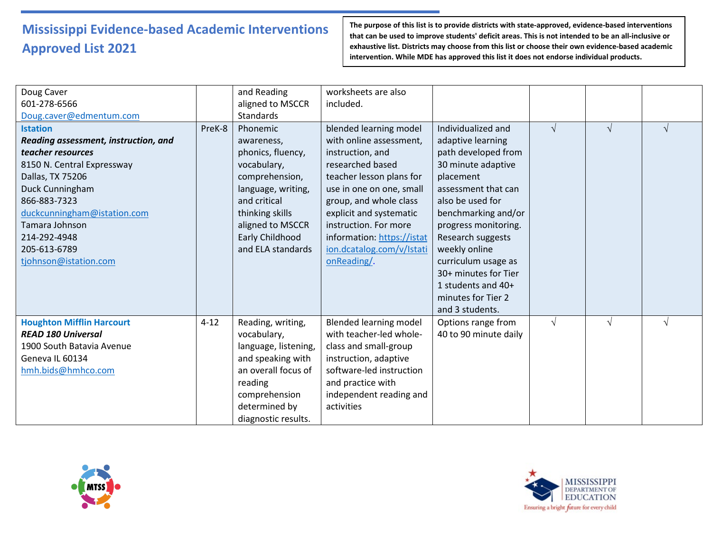| Doug Caver<br>601-278-6566<br>Doug.caver@edmentum.com                                                                                                                                                                                                                       |          | and Reading<br>aligned to MSCCR<br>Standards                                                                                                                                                      | worksheets are also<br>included.                                                                                                                                                                                                                                                                          |                                                                                                                                                                                                                                                                                                                                                   |            |            |            |
|-----------------------------------------------------------------------------------------------------------------------------------------------------------------------------------------------------------------------------------------------------------------------------|----------|---------------------------------------------------------------------------------------------------------------------------------------------------------------------------------------------------|-----------------------------------------------------------------------------------------------------------------------------------------------------------------------------------------------------------------------------------------------------------------------------------------------------------|---------------------------------------------------------------------------------------------------------------------------------------------------------------------------------------------------------------------------------------------------------------------------------------------------------------------------------------------------|------------|------------|------------|
| <b>Istation</b><br>Reading assessment, instruction, and<br>teacher resources<br>8150 N. Central Expressway<br>Dallas, TX 75206<br>Duck Cunningham<br>866-883-7323<br>duckcunningham@istation.com<br>Tamara Johnson<br>214-292-4948<br>205-613-6789<br>tjohnson@istation.com | PreK-8   | Phonemic<br>awareness,<br>phonics, fluency,<br>vocabulary,<br>comprehension,<br>language, writing,<br>and critical<br>thinking skills<br>aligned to MSCCR<br>Early Childhood<br>and ELA standards | blended learning model<br>with online assessment,<br>instruction, and<br>researched based<br>teacher lesson plans for<br>use in one on one, small<br>group, and whole class<br>explicit and systematic<br>instruction. For more<br>information: https://istat<br>ion.dcatalog.com/v/Istati<br>onReading/. | Individualized and<br>adaptive learning<br>path developed from<br>30 minute adaptive<br>placement<br>assessment that can<br>also be used for<br>benchmarking and/or<br>progress monitoring.<br>Research suggests<br>weekly online<br>curriculum usage as<br>30+ minutes for Tier<br>1 students and $40+$<br>minutes for Tier 2<br>and 3 students. | $\sqrt{ }$ | $\sqrt{ }$ | $\sqrt{ }$ |
| <b>Houghton Mifflin Harcourt</b><br><b>READ 180 Universal</b><br>1900 South Batavia Avenue<br>Geneva IL 60134<br>hmh.bids@hmhco.com                                                                                                                                         | $4 - 12$ | Reading, writing,<br>vocabulary,<br>language, listening,<br>and speaking with<br>an overall focus of<br>reading<br>comprehension<br>determined by<br>diagnostic results.                          | <b>Blended learning model</b><br>with teacher-led whole-<br>class and small-group<br>instruction, adaptive<br>software-led instruction<br>and practice with<br>independent reading and<br>activities                                                                                                      | Options range from<br>40 to 90 minute daily                                                                                                                                                                                                                                                                                                       | $\sqrt{ }$ | $\sqrt{ }$ | $\sqrt{ }$ |



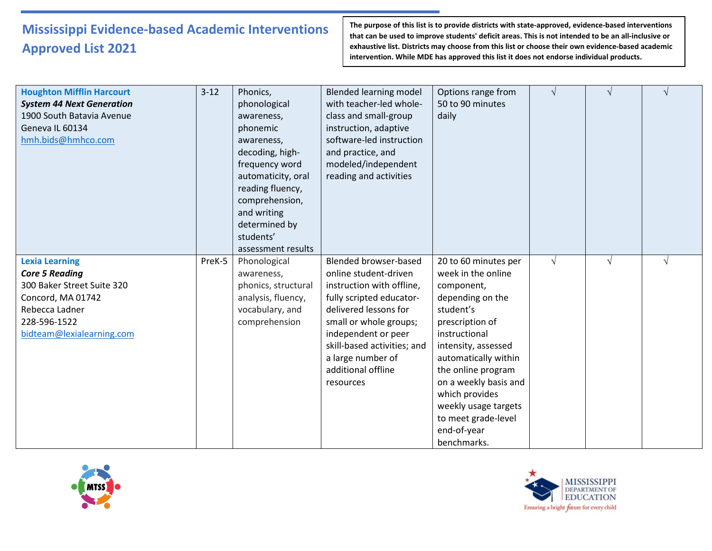| <b>Houghton Mifflin Harcourt</b><br><b>System 44 Next Generation</b><br>1900 South Batavia Avenue<br>Geneva IL 60134<br>hmh.bids@hmhco.com                       | $3 - 12$ | Phonics,<br>phonological<br>awareness,<br>phonemic<br>awareness,<br>decoding, high-<br>frequency word<br>automaticity, oral<br>reading fluency,<br>comprehension,<br>and writing<br>determined by<br>students'<br>assessment results | <b>Blended learning model</b><br>with teacher-led whole-<br>class and small-group<br>instruction, adaptive<br>software-led instruction<br>and practice, and<br>modeled/independent<br>reading and activities                                                                    | Options range from<br>50 to 90 minutes<br>daily                                                                                                                                                                                                                                                                            | $\sqrt{ }$ |  |
|------------------------------------------------------------------------------------------------------------------------------------------------------------------|----------|--------------------------------------------------------------------------------------------------------------------------------------------------------------------------------------------------------------------------------------|---------------------------------------------------------------------------------------------------------------------------------------------------------------------------------------------------------------------------------------------------------------------------------|----------------------------------------------------------------------------------------------------------------------------------------------------------------------------------------------------------------------------------------------------------------------------------------------------------------------------|------------|--|
| <b>Lexia Learning</b><br><b>Core 5 Reading</b><br>300 Baker Street Suite 320<br>Concord, MA 01742<br>Rebecca Ladner<br>228-596-1522<br>bidteam@lexialearning.com | PreK-5   | Phonological<br>awareness,<br>phonics, structural<br>analysis, fluency,<br>vocabulary, and<br>comprehension                                                                                                                          | <b>Blended browser-based</b><br>online student-driven<br>instruction with offline,<br>fully scripted educator-<br>delivered lessons for<br>small or whole groups;<br>independent or peer<br>skill-based activities; and<br>a large number of<br>additional offline<br>resources | 20 to 60 minutes per<br>week in the online<br>component,<br>depending on the<br>student's<br>prescription of<br>instructional<br>intensity, assessed<br>automatically within<br>the online program<br>on a weekly basis and<br>which provides<br>weekly usage targets<br>to meet grade-level<br>end-of-year<br>benchmarks. | $\sqrt{ }$ |  |



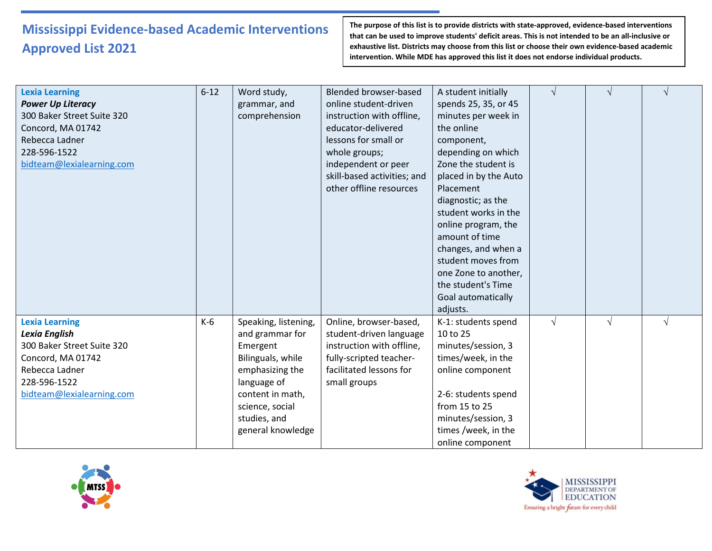| <b>Lexia Learning</b><br><b>Power Up Literacy</b><br>300 Baker Street Suite 320<br>Concord, MA 01742<br>Rebecca Ladner<br>228-596-1522<br>bidteam@lexialearning.com | $6 - 12$ | Word study,<br>grammar, and<br>comprehension                                                                                                                                           | <b>Blended browser-based</b><br>online student-driven<br>instruction with offline,<br>educator-delivered<br>lessons for small or<br>whole groups;<br>independent or peer<br>skill-based activities; and<br>other offline resources | A student initially<br>spends 25, 35, or 45<br>minutes per week in<br>the online<br>component,<br>depending on which<br>Zone the student is<br>placed in by the Auto<br>Placement<br>diagnostic; as the<br>student works in the<br>online program, the<br>amount of time<br>changes, and when a<br>student moves from<br>one Zone to another,<br>the student's Time<br>Goal automatically<br>adjusts. | $\sqrt{ }$ |            |  |
|---------------------------------------------------------------------------------------------------------------------------------------------------------------------|----------|----------------------------------------------------------------------------------------------------------------------------------------------------------------------------------------|------------------------------------------------------------------------------------------------------------------------------------------------------------------------------------------------------------------------------------|-------------------------------------------------------------------------------------------------------------------------------------------------------------------------------------------------------------------------------------------------------------------------------------------------------------------------------------------------------------------------------------------------------|------------|------------|--|
| <b>Lexia Learning</b><br>Lexia English<br>300 Baker Street Suite 320<br>Concord, MA 01742<br>Rebecca Ladner<br>228-596-1522<br>bidteam@lexialearning.com            | $K-6$    | Speaking, listening,<br>and grammar for<br>Emergent<br>Bilinguals, while<br>emphasizing the<br>language of<br>content in math,<br>science, social<br>studies, and<br>general knowledge | Online, browser-based,<br>student-driven language<br>instruction with offline,<br>fully-scripted teacher-<br>facilitated lessons for<br>small groups                                                                               | K-1: students spend<br>10 to 25<br>minutes/session, 3<br>times/week, in the<br>online component<br>2-6: students spend<br>from 15 to 25<br>minutes/session, 3<br>times /week, in the<br>online component                                                                                                                                                                                              | $\sqrt{ }$ | $\sqrt{ }$ |  |



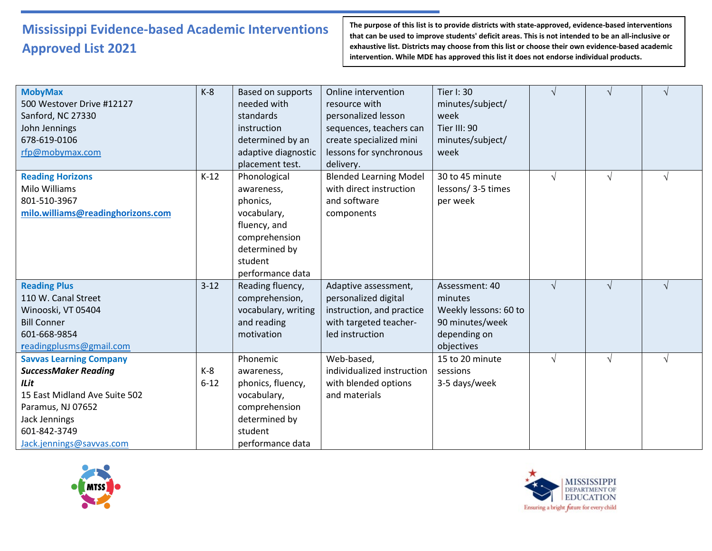| <b>MobyMax</b>                    | $K-8$    | Based on supports   | Online intervention           | Tier I: 30            |            |            | $\gamma$   |
|-----------------------------------|----------|---------------------|-------------------------------|-----------------------|------------|------------|------------|
| 500 Westover Drive #12127         |          | needed with         | resource with                 | minutes/subject/      |            |            |            |
| Sanford, NC 27330                 |          | standards           | personalized lesson           | week                  |            |            |            |
| John Jennings                     |          | instruction         | sequences, teachers can       | Tier III: 90          |            |            |            |
| 678-619-0106                      |          | determined by an    | create specialized mini       | minutes/subject/      |            |            |            |
| rfp@mobymax.com                   |          | adaptive diagnostic | lessons for synchronous       | week                  |            |            |            |
|                                   |          | placement test.     | delivery.                     |                       |            |            |            |
| <b>Reading Horizons</b>           | $K-12$   | Phonological        | <b>Blended Learning Model</b> | 30 to 45 minute       | $\sqrt{ }$ | $\sqrt{ }$ | $\sqrt{ }$ |
| Milo Williams                     |          | awareness,          | with direct instruction       | lessons/3-5 times     |            |            |            |
| 801-510-3967                      |          | phonics,            | and software                  | per week              |            |            |            |
| milo.williams@readinghorizons.com |          | vocabulary,         | components                    |                       |            |            |            |
|                                   |          | fluency, and        |                               |                       |            |            |            |
|                                   |          | comprehension       |                               |                       |            |            |            |
|                                   |          | determined by       |                               |                       |            |            |            |
|                                   |          | student             |                               |                       |            |            |            |
|                                   |          | performance data    |                               |                       |            |            |            |
| <b>Reading Plus</b>               | $3 - 12$ | Reading fluency,    | Adaptive assessment,          | Assessment: 40        | $\sqrt{ }$ | $\sqrt{ }$ | $\sqrt{ }$ |
| 110 W. Canal Street               |          | comprehension,      | personalized digital          | minutes               |            |            |            |
| Winooski, VT 05404                |          | vocabulary, writing | instruction, and practice     | Weekly lessons: 60 to |            |            |            |
| <b>Bill Conner</b>                |          | and reading         | with targeted teacher-        | 90 minutes/week       |            |            |            |
| 601-668-9854                      |          | motivation          | led instruction               | depending on          |            |            |            |
| readingplusms@gmail.com           |          |                     |                               | objectives            |            |            |            |
| <b>Savvas Learning Company</b>    |          | Phonemic            | Web-based,                    | 15 to 20 minute       | $\sqrt{ }$ | $\sqrt{ }$ | $\sqrt{ }$ |
| <b>SuccessMaker Reading</b>       | $K-8$    | awareness,          | individualized instruction    | sessions              |            |            |            |
| ILit                              | $6 - 12$ | phonics, fluency,   | with blended options          | 3-5 days/week         |            |            |            |
| 15 East Midland Ave Suite 502     |          | vocabulary,         | and materials                 |                       |            |            |            |
| Paramus, NJ 07652                 |          | comprehension       |                               |                       |            |            |            |
| Jack Jennings                     |          | determined by       |                               |                       |            |            |            |
| 601-842-3749                      |          | student             |                               |                       |            |            |            |
| Jack.jennings@savvas.com          |          | performance data    |                               |                       |            |            |            |



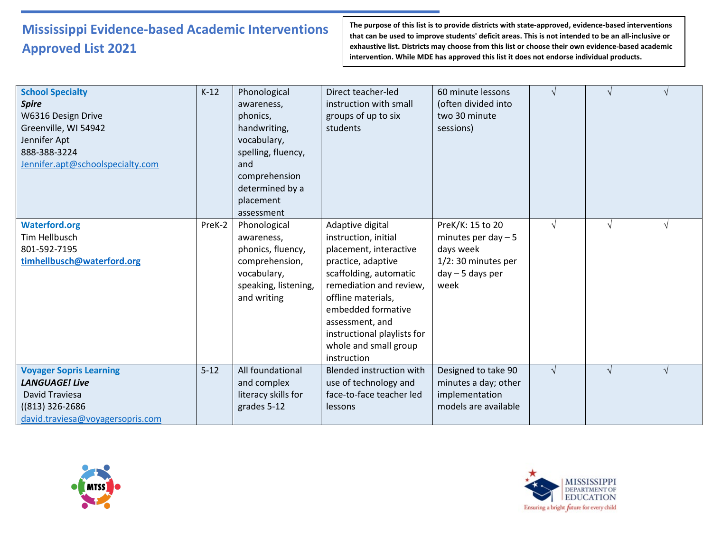| <b>School Specialty</b><br><b>Spire</b><br>W6316 Design Drive<br>Greenville, WI 54942<br>Jennifer Apt<br>888-388-3224<br>Jennifer.apt@schoolspecialty.com | $K-12$   | Phonological<br>awareness,<br>phonics,<br>handwriting,<br>vocabulary,<br>spelling, fluency,<br>and<br>comprehension<br>determined by a<br>placement<br>assessment | Direct teacher-led<br>instruction with small<br>groups of up to six<br>students                                                                                                                                                                                                     | 60 minute lessons<br>(often divided into<br>two 30 minute<br>sessions)                                    | $\sqrt{ }$ |            |  |
|-----------------------------------------------------------------------------------------------------------------------------------------------------------|----------|-------------------------------------------------------------------------------------------------------------------------------------------------------------------|-------------------------------------------------------------------------------------------------------------------------------------------------------------------------------------------------------------------------------------------------------------------------------------|-----------------------------------------------------------------------------------------------------------|------------|------------|--|
| <b>Waterford.org</b><br>Tim Hellbusch<br>801-592-7195<br>timhellbusch@waterford.org                                                                       | PreK-2   | Phonological<br>awareness,<br>phonics, fluency,<br>comprehension,<br>vocabulary,<br>speaking, listening,<br>and writing                                           | Adaptive digital<br>instruction, initial<br>placement, interactive<br>practice, adaptive<br>scaffolding, automatic<br>remediation and review,<br>offline materials,<br>embedded formative<br>assessment, and<br>instructional playlists for<br>whole and small group<br>instruction | PreK/K: 15 to 20<br>minutes per day $-5$<br>days week<br>1/2:30 minutes per<br>$day - 5$ days per<br>week | $\sqrt{ }$ | $\sqrt{ }$ |  |
| <b>Voyager Sopris Learning</b><br><b>LANGUAGE! Live</b><br>David Traviesa<br>((813) 326-2686<br>david.traviesa@voyagersopris.com                          | $5 - 12$ | All foundational<br>and complex<br>literacy skills for<br>grades 5-12                                                                                             | Blended instruction with<br>use of technology and<br>face-to-face teacher led<br>lessons                                                                                                                                                                                            | Designed to take 90<br>minutes a day; other<br>implementation<br>models are available                     | $\sqrt{ }$ | $\sqrt{ }$ |  |



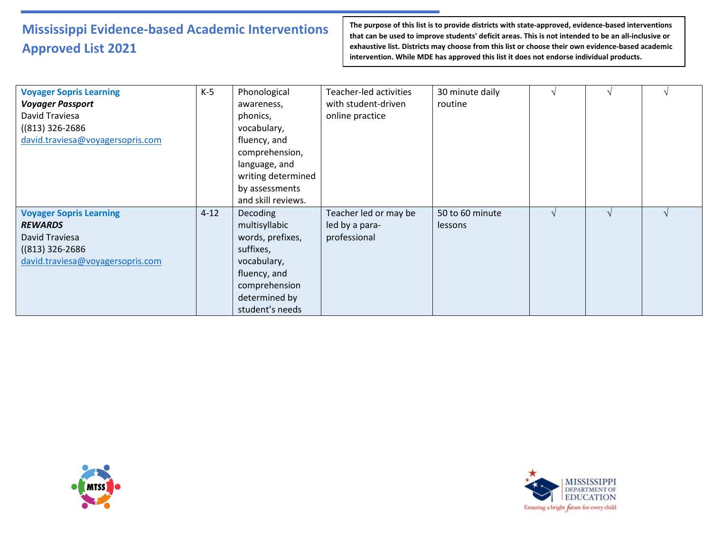| <b>Voyager Sopris Learning</b><br><b>Voyager Passport</b><br>David Traviesa<br>$((813) 326 - 2686)$<br>david.traviesa@voyagersopris.com | $K-5$    | Phonological<br>awareness,<br>phonics,<br>vocabulary,<br>fluency, and<br>comprehension,<br>language, and<br>writing determined<br>by assessments<br>and skill reviews. | Teacher-led activities<br>with student-driven<br>online practice | 30 minute daily<br>routine | $\mathbf \Lambda$ |  |
|-----------------------------------------------------------------------------------------------------------------------------------------|----------|------------------------------------------------------------------------------------------------------------------------------------------------------------------------|------------------------------------------------------------------|----------------------------|-------------------|--|
| <b>Voyager Sopris Learning</b><br><b>REWARDS</b><br>David Traviesa<br>$((813) 326 - 2686)$<br>david.traviesa@voyagersopris.com          | $4 - 12$ | <b>Decoding</b><br>multisyllabic<br>words, prefixes,<br>suffixes,<br>vocabulary,<br>fluency, and<br>comprehension<br>determined by<br>student's needs                  | Teacher led or may be<br>led by a para-<br>professional          | 50 to 60 minute<br>lessons |                   |  |



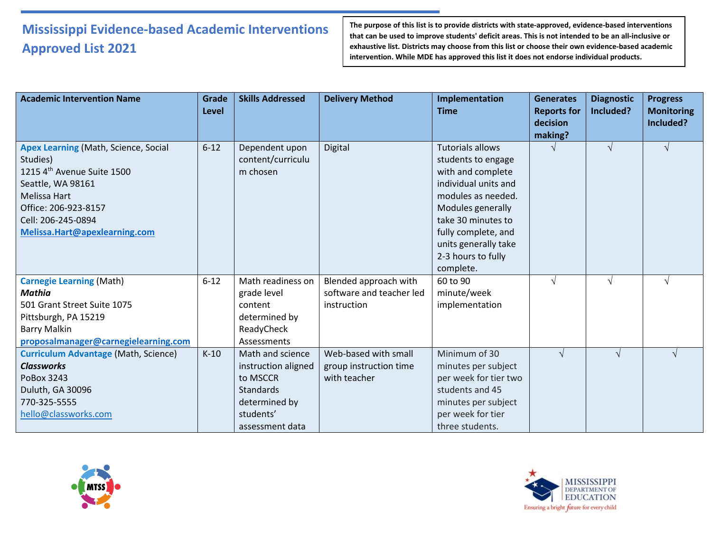| <b>Academic Intervention Name</b>                                                                                                                                                                         | Grade<br><b>Level</b> | <b>Skills Addressed</b>                                                                                                  | <b>Delivery Method</b>                                           | Implementation<br><b>Time</b>                                                                                                                                                                                                                 | <b>Generates</b><br><b>Reports for</b><br>decision<br>making? | <b>Diagnostic</b><br>Included? | <b>Progress</b><br><b>Monitoring</b><br>Included? |
|-----------------------------------------------------------------------------------------------------------------------------------------------------------------------------------------------------------|-----------------------|--------------------------------------------------------------------------------------------------------------------------|------------------------------------------------------------------|-----------------------------------------------------------------------------------------------------------------------------------------------------------------------------------------------------------------------------------------------|---------------------------------------------------------------|--------------------------------|---------------------------------------------------|
| <b>Apex Learning (Math, Science, Social</b><br>Studies)<br>1215 4th Avenue Suite 1500<br>Seattle, WA 98161<br>Melissa Hart<br>Office: 206-923-8157<br>Cell: 206-245-0894<br>Melissa.Hart@apexlearning.com | $6 - 12$              | Dependent upon<br>content/curriculu<br>m chosen                                                                          | Digital                                                          | <b>Tutorials allows</b><br>students to engage<br>with and complete<br>individual units and<br>modules as needed.<br>Modules generally<br>take 30 minutes to<br>fully complete, and<br>units generally take<br>2-3 hours to fully<br>complete. | $\sqrt{}$                                                     | $\sqrt{ }$                     |                                                   |
| <b>Carnegie Learning (Math)</b><br>Mathia<br>501 Grant Street Suite 1075<br>Pittsburgh, PA 15219<br><b>Barry Malkin</b><br>proposalmanager@carnegielearning.com                                           | $6 - 12$              | Math readiness on<br>grade level<br>content<br>determined by<br>ReadyCheck<br>Assessments                                | Blended approach with<br>software and teacher led<br>instruction | 60 to 90<br>minute/week<br>implementation                                                                                                                                                                                                     | $\sqrt{ }$                                                    | $\sqrt{ }$                     |                                                   |
| <b>Curriculum Advantage (Math, Science)</b><br><b>Classworks</b><br>PoBox 3243<br>Duluth, GA 30096<br>770-325-5555<br>hello@classworks.com                                                                | $K-10$                | Math and science<br>instruction aligned<br>to MSCCR<br><b>Standards</b><br>determined by<br>students'<br>assessment data | Web-based with small<br>group instruction time<br>with teacher   | Minimum of 30<br>minutes per subject<br>per week for tier two<br>students and 45<br>minutes per subject<br>per week for tier<br>three students.                                                                                               | $\sqrt{ }$                                                    | $\sqrt{}$                      | $\sqrt{ }$                                        |



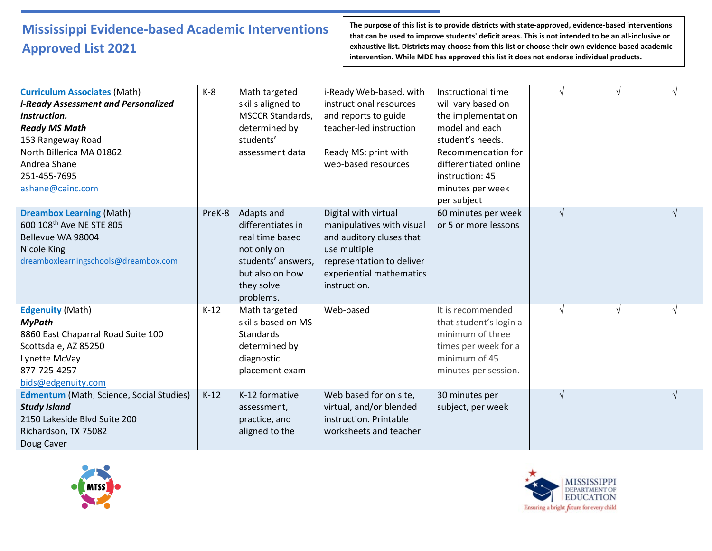| <b>Curriculum Associates (Math)</b>             | $K-8$  | Math targeted           | i-Ready Web-based, with   | Instructional time     |            |            |   |
|-------------------------------------------------|--------|-------------------------|---------------------------|------------------------|------------|------------|---|
| <i>i-Ready Assessment and Personalized</i>      |        | skills aligned to       | instructional resources   | will vary based on     |            |            |   |
| Instruction.                                    |        | <b>MSCCR Standards,</b> | and reports to guide      | the implementation     |            |            |   |
| <b>Ready MS Math</b>                            |        | determined by           | teacher-led instruction   | model and each         |            |            |   |
| 153 Rangeway Road                               |        | students'               |                           | student's needs.       |            |            |   |
| North Billerica MA 01862                        |        | assessment data         | Ready MS: print with      | Recommendation for     |            |            |   |
| Andrea Shane                                    |        |                         | web-based resources       | differentiated online  |            |            |   |
| 251-455-7695                                    |        |                         |                           | instruction: 45        |            |            |   |
| ashane@cainc.com                                |        |                         |                           | minutes per week       |            |            |   |
|                                                 |        |                         |                           | per subject            |            |            |   |
| <b>Dreambox Learning (Math)</b>                 | PreK-8 | Adapts and              | Digital with virtual      | 60 minutes per week    | $\sqrt{ }$ |            | V |
| 600 108 <sup>th</sup> Ave NE STE 805            |        | differentiates in       | manipulatives with visual | or 5 or more lessons   |            |            |   |
| Bellevue WA 98004                               |        | real time based         | and auditory cluses that  |                        |            |            |   |
| Nicole King                                     |        | not only on             | use multiple              |                        |            |            |   |
| dreamboxlearningschools@dreambox.com            |        | students' answers,      | representation to deliver |                        |            |            |   |
|                                                 |        | but also on how         | experiential mathematics  |                        |            |            |   |
|                                                 |        | they solve              | instruction.              |                        |            |            |   |
|                                                 |        | problems.               |                           |                        |            |            |   |
| <b>Edgenuity (Math)</b>                         | $K-12$ | Math targeted           | Web-based                 | It is recommended      | $\sqrt{}$  | $\sqrt{ }$ | V |
| <b>MyPath</b>                                   |        | skills based on MS      |                           | that student's login a |            |            |   |
| 8860 East Chaparral Road Suite 100              |        | <b>Standards</b>        |                           | minimum of three       |            |            |   |
| Scottsdale, AZ 85250                            |        | determined by           |                           | times per week for a   |            |            |   |
| Lynette McVay                                   |        | diagnostic              |                           | minimum of 45          |            |            |   |
| 877-725-4257                                    |        | placement exam          |                           | minutes per session.   |            |            |   |
| bids@edgenuity.com                              |        |                         |                           |                        |            |            |   |
| <b>Edmentum</b> (Math, Science, Social Studies) | $K-12$ | K-12 formative          | Web based for on site,    | 30 minutes per         | $\sqrt{ }$ |            |   |
| <b>Study Island</b>                             |        | assessment,             | virtual, and/or blended   | subject, per week      |            |            |   |
| 2150 Lakeside Blvd Suite 200                    |        | practice, and           | instruction. Printable    |                        |            |            |   |
| Richardson, TX 75082                            |        | aligned to the          | worksheets and teacher    |                        |            |            |   |
| Doug Caver                                      |        |                         |                           |                        |            |            |   |



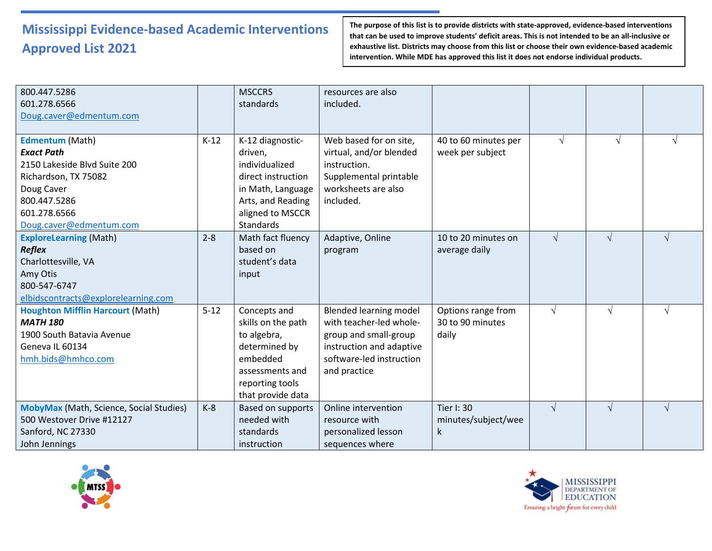| 800.447.5286<br>601.278.6566<br>Doug.caver@edmentum.com                                                                                                               |          | <b>MSCCRS</b><br>standards                                                                                                                            | resources are also<br>included.                                                                                                                           |                                                 |            |            |            |
|-----------------------------------------------------------------------------------------------------------------------------------------------------------------------|----------|-------------------------------------------------------------------------------------------------------------------------------------------------------|-----------------------------------------------------------------------------------------------------------------------------------------------------------|-------------------------------------------------|------------|------------|------------|
| Edmentum (Math)<br><b>Exact Path</b><br>2150 Lakeside Blvd Suite 200<br>Richardson, TX 75082<br>Doug Caver<br>800.447.5286<br>601.278.6566<br>Doug.caver@edmentum.com | $K-12$   | K-12 diagnostic-<br>driven,<br>individualized<br>direct instruction<br>in Math, Language<br>Arts, and Reading<br>aligned to MSCCR<br><b>Standards</b> | Web based for on site,<br>virtual, and/or blended<br>instruction.<br>Supplemental printable<br>worksheets are also<br>included.                           | 40 to 60 minutes per<br>week per subject        | $\sqrt{ }$ | V          | V          |
| <b>ExploreLearning (Math)</b><br><b>Reflex</b><br>Charlottesville, VA<br>Amy Otis<br>800-547-6747<br>elbidscontracts@explorelearning.com                              | $2 - 8$  | Math fact fluency<br>based on<br>student's data<br>input                                                                                              | Adaptive, Online<br>program                                                                                                                               | 10 to 20 minutes on<br>average daily            | $\sqrt{ }$ | $\sqrt{}$  | $\sqrt{ }$ |
| <b>Houghton Mifflin Harcourt (Math)</b><br><b>MATH 180</b><br>1900 South Batavia Avenue<br>Geneva IL 60134<br>hmh.bids@hmhco.com                                      | $5 - 12$ | Concepts and<br>skills on the path<br>to algebra,<br>determined by<br>embedded<br>assessments and<br>reporting tools<br>that provide data             | <b>Blended learning model</b><br>with teacher-led whole-<br>group and small-group<br>instruction and adaptive<br>software-led instruction<br>and practice | Options range from<br>30 to 90 minutes<br>daily | $\sqrt{ }$ | $\sqrt{ }$ | $\sqrt{ }$ |
| <b>MobyMax</b> (Math, Science, Social Studies)<br>500 Westover Drive #12127<br>Sanford, NC 27330<br>John Jennings                                                     | $K-8$    | <b>Based on supports</b><br>needed with<br>standards<br>instruction                                                                                   | Online intervention<br>resource with<br>personalized lesson<br>sequences where                                                                            | <b>Tier I: 30</b><br>minutes/subject/wee<br>k   | $\sqrt{ }$ | $\sqrt{ }$ | $\sqrt{ }$ |